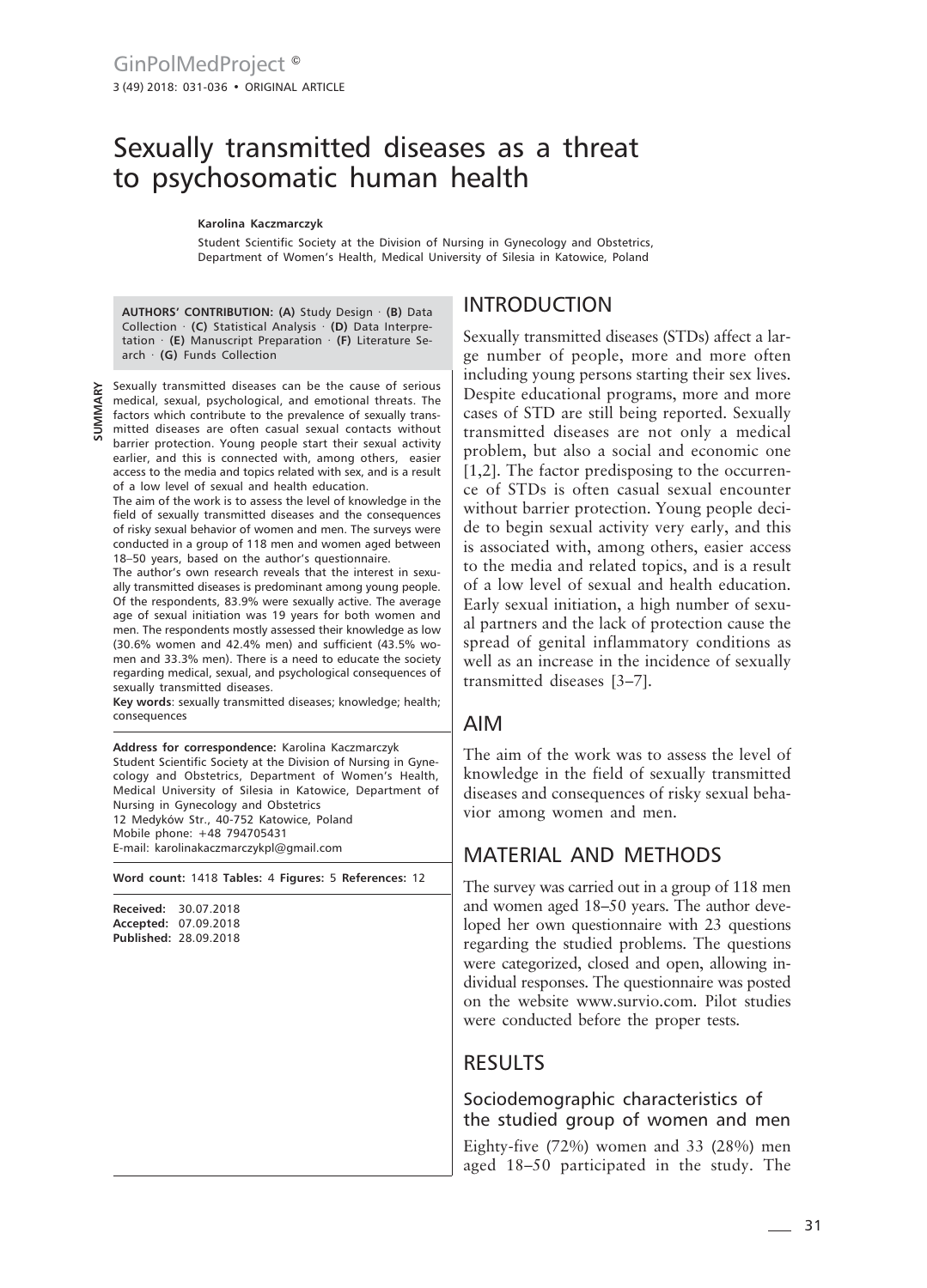# Sexually transmitted diseases as a threat to psychosomatic human health

#### **Karolina Kaczmarczyk**

Student Scientific Society at the Division of Nursing in Gynecology and Obstetrics, Department of Women's Health, Medical University of Silesia in Katowice, Poland

**AUTHORS' CONTRIBUTION: (A)** Study Design · **(B)** Data Collection · **(C)** Statistical Analysis · **(D)** Data Interpretation · **(E)** Manuscript Preparation · **(F)** Literature Search · **(G)** Funds Collection

**SUMMARY**

Sexually transmitted diseases can be the cause of serious medical, sexual, psychological, and emotional threats. The factors which contribute to the prevalence of sexually transmitted diseases are often casual sexual contacts without barrier protection. Young people start their sexual activity earlier, and this is connected with, among others, easier access to the media and topics related with sex, and is a result of a low level of sexual and health education.

The aim of the work is to assess the level of knowledge in the field of sexually transmitted diseases and the consequences of risky sexual behavior of women and men. The surveys were conducted in a group of 118 men and women aged between 18–50 years, based on the author's questionnaire.

The author's own research reveals that the interest in sexually transmitted diseases is predominant among young people. Of the respondents, 83.9% were sexually active. The average age of sexual initiation was 19 years for both women and men. The respondents mostly assessed their knowledge as low (30.6% women and 42.4% men) and sufficient (43.5% women and 33.3% men). There is a need to educate the society regarding medical, sexual, and psychological consequences of sexually transmitted diseases.

**Key words**: sexually transmitted diseases; knowledge; health; consequences

**Address for correspondence:** Karolina Kaczmarczyk Student Scientific Society at the Division of Nursing in Gynecology and Obstetrics, Department of Women's Health, Medical University of Silesia in Katowice, Department of Nursing in Gynecology and Obstetrics 12 Medyków Str., 40-752 Katowice, Poland Mobile phone: +48 794705431 E-mail: karolinakaczmarczykpl@gmail.com

**Word count:** 1418 **Tables:** 4 **Figures:** 5 **References:** 12

**Received:** 30.07.2018 **Accepted:** 07.09.2018 **Published:** 28.09.2018

### INTRODUCTION

Sexually transmitted diseases (STDs) affect a large number of people, more and more often including young persons starting their sex lives. Despite educational programs, more and more cases of STD are still being reported. Sexually transmitted diseases are not only a medical problem, but also a social and economic one [1,2]. The factor predisposing to the occurrence of STDs is often casual sexual encounter without barrier protection. Young people decide to begin sexual activity very early, and this is associated with, among others, easier access to the media and related topics, and is a result of a low level of sexual and health education. Early sexual initiation, a high number of sexual partners and the lack of protection cause the spread of genital inflammatory conditions as well as an increase in the incidence of sexually transmitted diseases [3–7].

### AIM

The aim of the work was to assess the level of knowledge in the field of sexually transmitted diseases and consequences of risky sexual behavior among women and men.

## MATERIAL AND METHODS

The survey was carried out in a group of 118 men and women aged 18–50 years. The author developed her own questionnaire with 23 questions regarding the studied problems. The questions were categorized, closed and open, allowing individual responses. The questionnaire was posted on the website www.survio.com. Pilot studies were conducted before the proper tests.

## RESULTS

Sociodemographic characteristics of the studied group of women and men

Eighty-five (72%) women and 33 (28%) men aged 18–50 participated in the study. The

 $-31$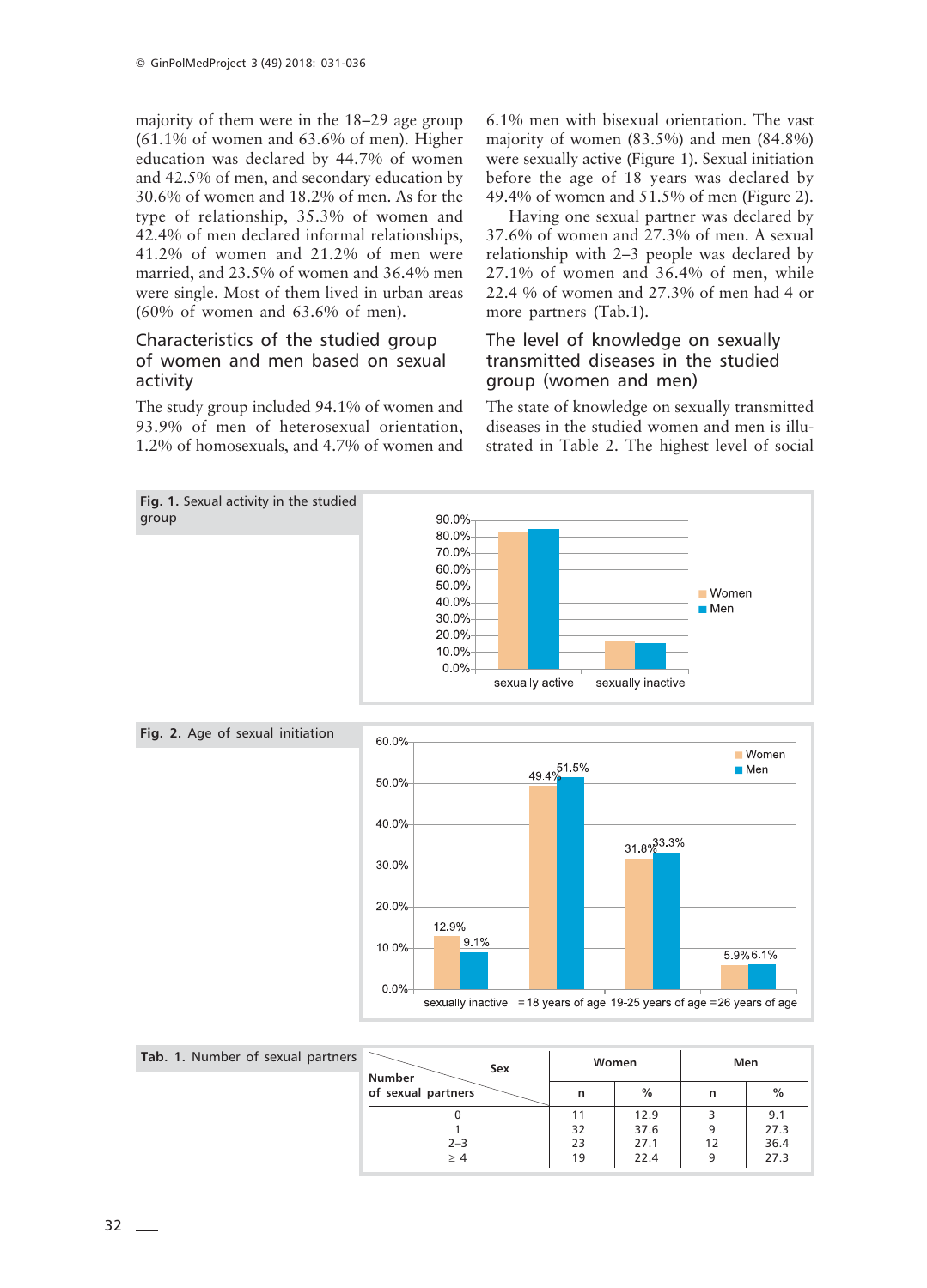majority of them were in the 18–29 age group (61.1% of women and 63.6% of men). Higher education was declared by 44.7% of women and 42.5% of men, and secondary education by 30.6% of women and 18.2% of men. As for the type of relationship, 35.3% of women and 42.4% of men declared informal relationships, 41.2% of women and 21.2% of men were married, and 23.5% of women and 36.4% men were single. Most of them lived in urban areas (60% of women and 63.6% of men).

### Characteristics of the studied group of women and men based on sexual activity

The study group included 94.1% of women and 93.9% of men of heterosexual orientation, 1.2% of homosexuals, and 4.7% of women and

6.1% men with bisexual orientation. The vast majority of women (83.5%) and men (84.8%) were sexually active (Figure 1). Sexual initiation before the age of 18 years was declared by 49.4% of women and 51.5% of men (Figure 2).

Having one sexual partner was declared by 37.6% of women and 27.3% of men. A sexual relationship with 2–3 people was declared by 27.1% of women and 36.4% of men, while 22.4 % of women and 27.3% of men had 4 or more partners (Tab.1).

### The level of knowledge on sexually transmitted diseases in the studied group (women and men)

The state of knowledge on sexually transmitted diseases in the studied women and men is illustrated in Table 2. The highest level of social



| Tab. 1. Number of sexual partners | Sex<br>Number<br>of sexual partners | Women |      | Men |      |
|-----------------------------------|-------------------------------------|-------|------|-----|------|
|                                   |                                     | n     | $\%$ | n   | $\%$ |
|                                   |                                     |       | 12.9 |     | 9.1  |
|                                   |                                     | 32    | 37.6 | 9   | 27.3 |
|                                   | $2 - 3$                             | 23    | 27.1 | 12  | 36.4 |
|                                   | >4                                  | 19    | 22.4 | 9   | 27.3 |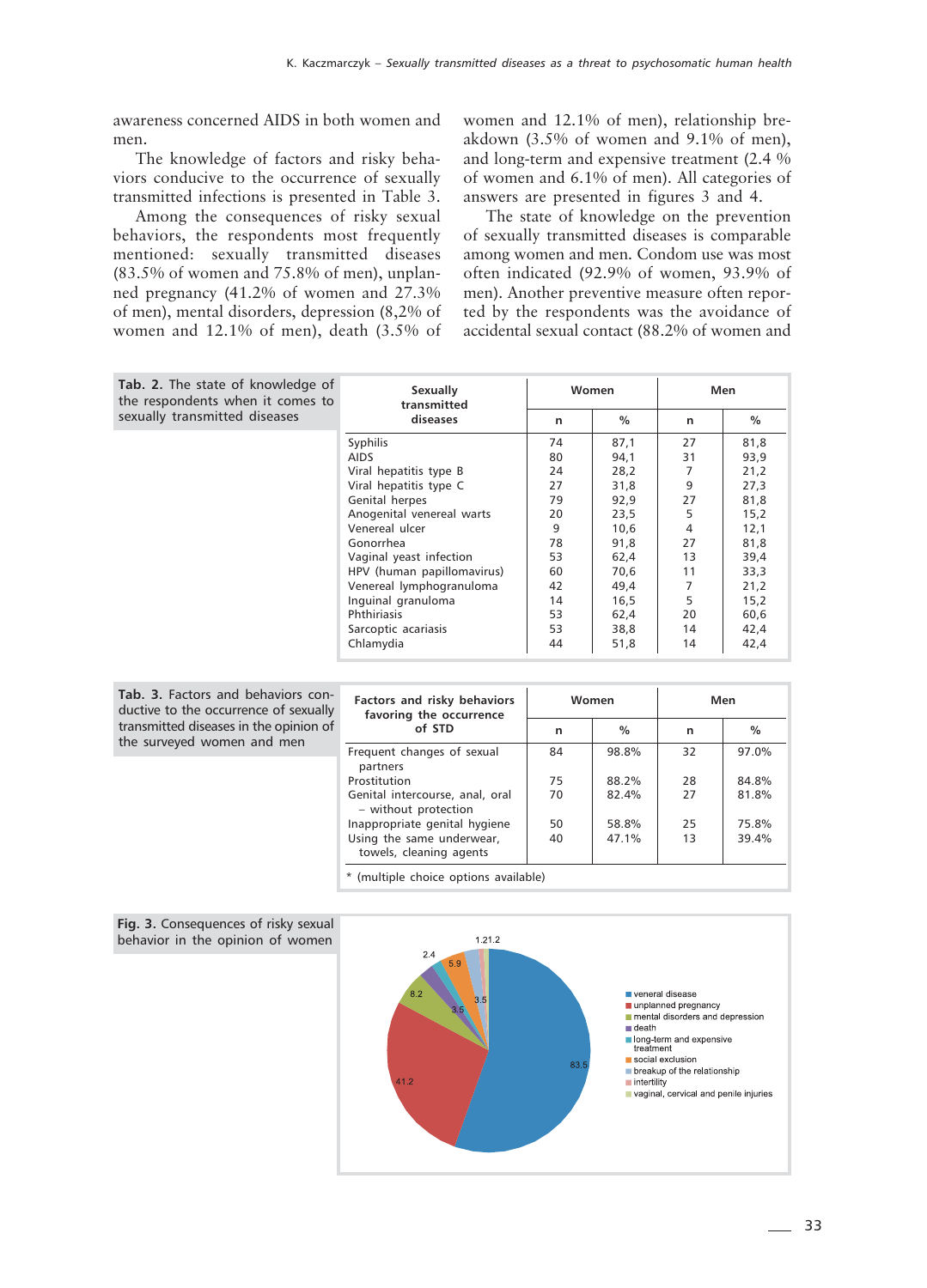awareness concerned AIDS in both women and men.

The knowledge of factors and risky behaviors conducive to the occurrence of sexually transmitted infections is presented in Table 3.

Among the consequences of risky sexual behaviors, the respondents most frequently mentioned: sexually transmitted diseases (83.5% of women and 75.8% of men), unplanned pregnancy (41.2% of women and 27.3% of men), mental disorders, depression (8,2% of women and 12.1% of men), death (3.5% of women and 12.1% of men), relationship breakdown (3.5% of women and 9.1% of men), and long-term and expensive treatment (2.4 % of women and 6.1% of men). All categories of answers are presented in figures 3 and 4.

The state of knowledge on the prevention of sexually transmitted diseases is comparable among women and men. Condom use was most often indicated (92.9% of women, 93.9% of men). Another preventive measure often reported by the respondents was the avoidance of accidental sexual contact (88.2% of women and

| <b>Tab. 2.</b> The state of knowledge of<br>the respondents when it comes to<br>sexually transmitted diseases | Sexually<br>transmitted<br>diseases | Women |               | Men |      |
|---------------------------------------------------------------------------------------------------------------|-------------------------------------|-------|---------------|-----|------|
|                                                                                                               |                                     | n     | $\frac{0}{0}$ | n   | $\%$ |
|                                                                                                               | Syphilis                            | 74    | 87,1          | 27  | 81,8 |
|                                                                                                               | <b>AIDS</b>                         | 80    | 94,1          | 31  | 93,9 |
|                                                                                                               | Viral hepatitis type B              | 24    | 28,2          | 7   | 21,2 |
|                                                                                                               | Viral hepatitis type C              | 27    | 31,8          | 9   | 27,3 |
|                                                                                                               | Genital herpes                      | 79    | 92,9          | 27  | 81,8 |
|                                                                                                               | Anogenital venereal warts           | 20    | 23,5          | 5   | 15,2 |
|                                                                                                               | Venereal ulcer                      | 9     | 10.6          | 4   | 12,1 |
|                                                                                                               | Gonorrhea                           | 78    | 91,8          | 27  | 81,8 |
|                                                                                                               | Vaginal yeast infection             | 53    | 62,4          | 13  | 39,4 |
|                                                                                                               | HPV (human papillomavirus)          | 60    | 70.6          | 11  | 33,3 |
|                                                                                                               | Venereal lymphogranuloma            | 42    | 49,4          | 7   | 21,2 |
|                                                                                                               | Inguinal granuloma                  | 14    | 16,5          | 5   | 15,2 |
|                                                                                                               | Phthiriasis                         | 53    | 62,4          | 20  | 60,6 |
|                                                                                                               | Sarcoptic acariasis                 | 53    | 38,8          | 14  | 42,4 |
|                                                                                                               | Chlamydia                           | 44    | 51,8          | 14  | 42,4 |

| Tab. 3. Factors and behaviors con-<br>ductive to the occurrence of sexually<br>transmitted diseases in the opinion of | Factors and risky behaviors<br>favoring the occurrence<br>of STD | Women |               | Men |               |
|-----------------------------------------------------------------------------------------------------------------------|------------------------------------------------------------------|-------|---------------|-----|---------------|
|                                                                                                                       |                                                                  | n     | $\frac{0}{0}$ | n   | $\frac{0}{0}$ |
| the surveyed women and men                                                                                            | Frequent changes of sexual<br>partners                           | 84    | 98.8%         | 32  | 97.0%         |
|                                                                                                                       | Prostitution                                                     | 75    | 88.2%         | 28  | 84.8%         |
|                                                                                                                       | Genital intercourse, anal, oral<br>- without protection          | 70    | 82.4%         | 27  | 81.8%         |
|                                                                                                                       | Inappropriate genital hygiene                                    | 50    | 58.8%         | 25  | 75.8%         |
|                                                                                                                       | Using the same underwear,<br>towels, cleaning agents             | 40    | 47.1%         | 13  | 39.4%         |
|                                                                                                                       | .                                                                | .     |               |     |               |



**Fig. 3.** Consequences of risky sexual behavior in the opinion of women

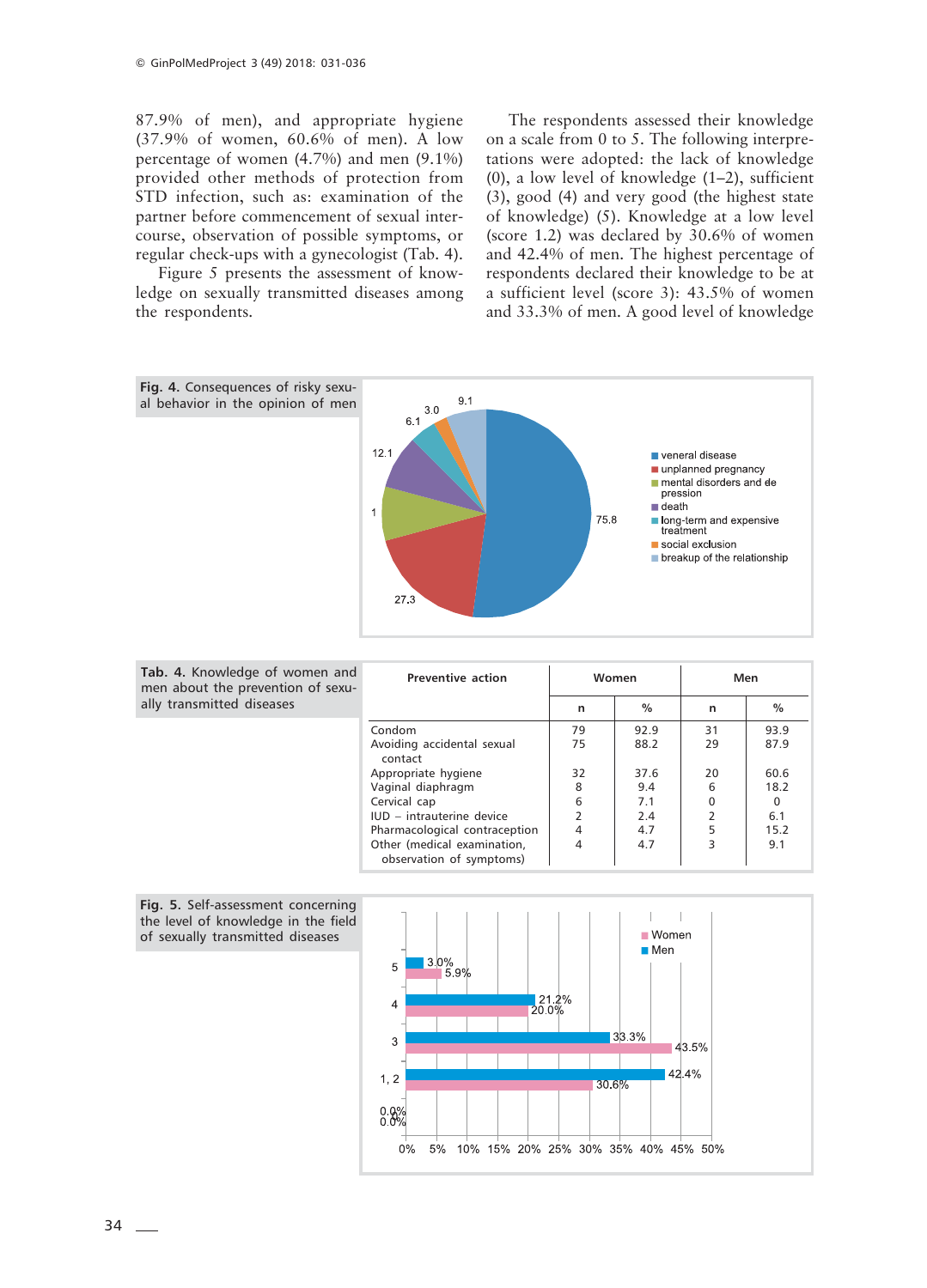87.9% of men), and appropriate hygiene (37.9% of women, 60.6% of men). A low percentage of women (4.7%) and men (9.1%) provided other methods of protection from STD infection, such as: examination of the partner before commencement of sexual intercourse, observation of possible symptoms, or regular check-ups with a gynecologist (Tab. 4).

Figure 5 presents the assessment of knowledge on sexually transmitted diseases among the respondents.

The respondents assessed their knowledge on a scale from 0 to 5. The following interpretations were adopted: the lack of knowledge (0), a low level of knowledge (1–2), sufficient (3), good (4) and very good (the highest state of knowledge) (5). Knowledge at a low level (score 1.2) was declared by 30.6% of women and 42.4% of men. The highest percentage of respondents declared their knowledge to be at a sufficient level (score 3): 43.5% of women and 33.3% of men. A good level of knowledge



| nen and<br>of sexu- | Preventive action                                       | Women |      | Men |      |  |
|---------------------|---------------------------------------------------------|-------|------|-----|------|--|
|                     |                                                         | n     | $\%$ | n   | $\%$ |  |
|                     | Condom                                                  | 79    | 92.9 | 31  | 93.9 |  |
|                     | Avoiding accidental sexual<br>contact                   | 75    | 88.2 | 29  | 87.9 |  |
|                     | Appropriate hygiene                                     | 32    | 37.6 | 20  | 60.6 |  |
|                     | Vaginal diaphragm                                       | 8     | 9.4  | 6   | 18.2 |  |
|                     | Cervical cap                                            | 6     | 7.1  |     |      |  |
|                     | IUD - intrauterine device                               |       | 2.4  |     | 6.1  |  |
|                     | Pharmacological contraception                           | 4     | 4.7  |     | 15.2 |  |
|                     | Other (medical examination,<br>observation of symptoms) | 4     | 4.7  | 3   | 9.1  |  |



Tab. 4. Knowledge of wor men about the prevention  $n$  ally transmitted diseases

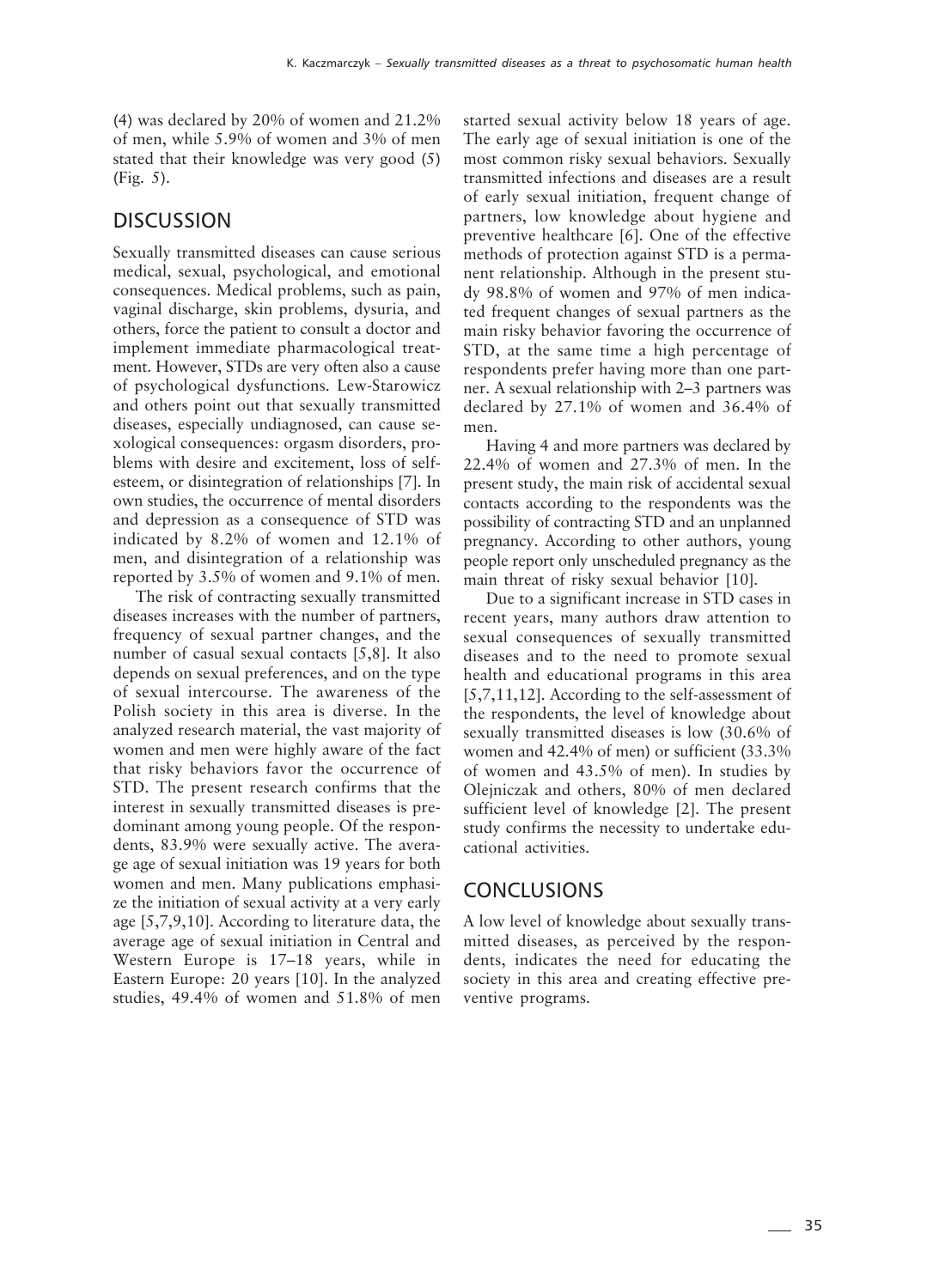(4) was declared by 20% of women and 21.2% of men, while 5.9% of women and 3% of men stated that their knowledge was very good (5) (Fig. 5).

### **DISCUSSION**

Sexually transmitted diseases can cause serious medical, sexual, psychological, and emotional consequences. Medical problems, such as pain, vaginal discharge, skin problems, dysuria, and others, force the patient to consult a doctor and implement immediate pharmacological treatment. However, STDs are very often also a cause of psychological dysfunctions. Lew-Starowicz and others point out that sexually transmitted diseases, especially undiagnosed, can cause sexological consequences: orgasm disorders, problems with desire and excitement, loss of selfesteem, or disintegration of relationships [7]. In own studies, the occurrence of mental disorders and depression as a consequence of STD was indicated by 8.2% of women and 12.1% of men, and disintegration of a relationship was reported by 3.5% of women and 9.1% of men.

The risk of contracting sexually transmitted diseases increases with the number of partners, frequency of sexual partner changes, and the number of casual sexual contacts [5,8]. It also depends on sexual preferences, and on the type of sexual intercourse. The awareness of the Polish society in this area is diverse. In the analyzed research material, the vast majority of women and men were highly aware of the fact that risky behaviors favor the occurrence of STD. The present research confirms that the interest in sexually transmitted diseases is predominant among young people. Of the respondents, 83.9% were sexually active. The average age of sexual initiation was 19 years for both women and men. Many publications emphasize the initiation of sexual activity at a very early age [5,7,9,10]. According to literature data, the average age of sexual initiation in Central and Western Europe is 17–18 years, while in Eastern Europe: 20 years [10]. In the analyzed studies, 49.4% of women and 51.8% of men started sexual activity below 18 years of age. The early age of sexual initiation is one of the most common risky sexual behaviors. Sexually transmitted infections and diseases are a result of early sexual initiation, frequent change of partners, low knowledge about hygiene and preventive healthcare [6]. One of the effective methods of protection against STD is a permanent relationship. Although in the present study 98.8% of women and 97% of men indicated frequent changes of sexual partners as the main risky behavior favoring the occurrence of STD, at the same time a high percentage of respondents prefer having more than one partner. A sexual relationship with 2–3 partners was declared by 27.1% of women and 36.4% of men.

Having 4 and more partners was declared by 22.4% of women and 27.3% of men. In the present study, the main risk of accidental sexual contacts according to the respondents was the possibility of contracting STD and an unplanned pregnancy. According to other authors, young people report only unscheduled pregnancy as the main threat of risky sexual behavior [10].

Due to a significant increase in STD cases in recent years, many authors draw attention to sexual consequences of sexually transmitted diseases and to the need to promote sexual health and educational programs in this area [5,7,11,12]. According to the self-assessment of the respondents, the level of knowledge about sexually transmitted diseases is low (30.6% of women and 42.4% of men) or sufficient (33.3% of women and 43.5% of men). In studies by Olejniczak and others, 80% of men declared sufficient level of knowledge [2]. The present study confirms the necessity to undertake educational activities.

### **CONCLUSIONS**

A low level of knowledge about sexually transmitted diseases, as perceived by the respondents, indicates the need for educating the society in this area and creating effective preventive programs.